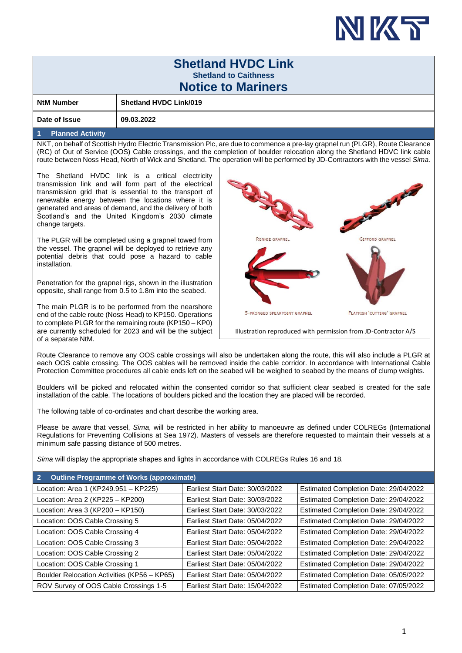

|                                                                                                                                                                                                                                                                                                                                                                                            |                                                 |                       |                                                                                                                                     | IN K                                  |  |  |  |  |  |  |
|--------------------------------------------------------------------------------------------------------------------------------------------------------------------------------------------------------------------------------------------------------------------------------------------------------------------------------------------------------------------------------------------|-------------------------------------------------|-----------------------|-------------------------------------------------------------------------------------------------------------------------------------|---------------------------------------|--|--|--|--|--|--|
| <b>Shetland HVDC Link</b>                                                                                                                                                                                                                                                                                                                                                                  |                                                 |                       |                                                                                                                                     |                                       |  |  |  |  |  |  |
| <b>Shetland to Caithness</b>                                                                                                                                                                                                                                                                                                                                                               |                                                 |                       |                                                                                                                                     |                                       |  |  |  |  |  |  |
| <b>Notice to Mariners</b>                                                                                                                                                                                                                                                                                                                                                                  |                                                 |                       |                                                                                                                                     |                                       |  |  |  |  |  |  |
| <b>NtM Number</b>                                                                                                                                                                                                                                                                                                                                                                          | <b>Shetland HVDC Link/019</b>                   |                       |                                                                                                                                     |                                       |  |  |  |  |  |  |
| Date of Issue                                                                                                                                                                                                                                                                                                                                                                              | 09.03.2022                                      |                       |                                                                                                                                     |                                       |  |  |  |  |  |  |
| <b>Planned Activity</b><br>1                                                                                                                                                                                                                                                                                                                                                               |                                                 |                       |                                                                                                                                     |                                       |  |  |  |  |  |  |
| NKT, on behalf of Scottish Hydro Electric Transmission Plc, are due to commence a pre-lay grapnel run (PLGR), Route Clearance<br>(RC) of Out of Service (OOS) Cable crossings, and the completion of boulder relocation along the Shetland HDVC link cable<br>route between Noss Head, North of Wick and Shetland. The operation will be performed by JD-Contractors with the vessel Sima. |                                                 |                       |                                                                                                                                     |                                       |  |  |  |  |  |  |
| The Shetland HVDC link is a critical electricity<br>transmission link and will form part of the electrical<br>transmission grid that is essential to the transport of<br>renewable energy between the locations where it is<br>generated and areas of demand, and the delivery of both<br>Scotland's and the United Kingdom's 2030 climate<br>change targets.                              |                                                 |                       |                                                                                                                                     |                                       |  |  |  |  |  |  |
| The PLGR will be completed using a grapnel towed from<br>the vessel. The grapnel will be deployed to retrieve any<br>potential debris that could pose a hazard to cable<br>installation.                                                                                                                                                                                                   |                                                 | <b>RENNIE GRAPNEL</b> | <b>GIFFORD GRAPNEL</b>                                                                                                              |                                       |  |  |  |  |  |  |
| Penetration for the grapnel rigs, shown in the illustration<br>opposite, shall range from 0.5 to 1.8m into the seabed.                                                                                                                                                                                                                                                                     |                                                 |                       |                                                                                                                                     |                                       |  |  |  |  |  |  |
| The main PLGR is to be performed from the nearshore<br>end of the cable route (Noss Head) to KP150. Operations<br>to complete PLGR for the remaining route (KP150 - KP0)<br>are currently scheduled for 2023 and will be the subject                                                                                                                                                       |                                                 |                       | <b>FLATFISH 'CUTTING' GRAPNEL</b><br>5-PRONGED SPEARPOINT GRAPNEL<br>Illustration reproduced with permission from JD-Contractor A/S |                                       |  |  |  |  |  |  |
| of a separate NtM.                                                                                                                                                                                                                                                                                                                                                                         |                                                 |                       |                                                                                                                                     |                                       |  |  |  |  |  |  |
| Route Clearance to remove any OOS cable crossings will also be undertaken along the route, this will also include a PLGR at<br>each OOS cable crossing. The OOS cables will be removed inside the cable corridor. In accordance with International Cable<br>Protection Committee procedures all cable ends left on the seabed will be weighed to seabed by the means of clump weights.     |                                                 |                       |                                                                                                                                     |                                       |  |  |  |  |  |  |
| Boulders will be picked and relocated within the consented corridor so that sufficient clear seabed is created for the safe<br>installation of the cable. The locations of boulders picked and the location they are placed will be recorded.                                                                                                                                              |                                                 |                       |                                                                                                                                     |                                       |  |  |  |  |  |  |
| The following table of co-ordinates and chart describe the working area.                                                                                                                                                                                                                                                                                                                   |                                                 |                       |                                                                                                                                     |                                       |  |  |  |  |  |  |
| Please be aware that vessel, Sima, will be restricted in her ability to manoeuvre as defined under COLREGs (International<br>Regulations for Preventing Collisions at Sea 1972). Masters of vessels are therefore requested to maintain their vessels at a<br>minimum safe passing distance of 500 metres.                                                                                 |                                                 |                       |                                                                                                                                     |                                       |  |  |  |  |  |  |
| Sima will display the appropriate shapes and lights in accordance with COLREGs Rules 16 and 18.                                                                                                                                                                                                                                                                                            |                                                 |                       |                                                                                                                                     |                                       |  |  |  |  |  |  |
| $\overline{2}$                                                                                                                                                                                                                                                                                                                                                                             | <b>Outline Programme of Works (approximate)</b> |                       |                                                                                                                                     |                                       |  |  |  |  |  |  |
| Location: Area 1 (KP249.951 - KP225)                                                                                                                                                                                                                                                                                                                                                       |                                                 |                       | Earliest Start Date: 30/03/2022                                                                                                     | Estimated Completion Date: 29/04/2022 |  |  |  |  |  |  |
|                                                                                                                                                                                                                                                                                                                                                                                            | Location: Area 2 (KP225 - KP200)                |                       | Earliest Start Date: 30/03/2022                                                                                                     | Estimated Completion Date: 29/04/2022 |  |  |  |  |  |  |
| Location: Area 3 (KP200 - KP150)                                                                                                                                                                                                                                                                                                                                                           |                                                 |                       | Earliest Start Date: 30/03/2022                                                                                                     | Estimated Completion Date: 29/04/2022 |  |  |  |  |  |  |
| Location: OOS Cable Crossing 5                                                                                                                                                                                                                                                                                                                                                             |                                                 |                       | Earliest Start Date: 05/04/2022                                                                                                     | Estimated Completion Date: 29/04/2022 |  |  |  |  |  |  |
| Location: OOS Cable Crossing 4                                                                                                                                                                                                                                                                                                                                                             |                                                 |                       | Earliest Start Date: 05/04/2022                                                                                                     | Estimated Completion Date: 29/04/2022 |  |  |  |  |  |  |
| Location: OOS Cable Crossing 3                                                                                                                                                                                                                                                                                                                                                             |                                                 |                       | Earliest Start Date: 05/04/2022                                                                                                     | Estimated Completion Date: 29/04/2022 |  |  |  |  |  |  |
| Location: OOS Cable Crossing 2                                                                                                                                                                                                                                                                                                                                                             |                                                 |                       | Earliest Start Date: 05/04/2022                                                                                                     | Estimated Completion Date: 29/04/2022 |  |  |  |  |  |  |

Location: OOS Cable Crossing 1 | Earliest Start Date: 05/04/2022 | Estimated Completion Date: 29/04/2022 Boulder Relocation Activities (KP56 – KP65) Earliest Start Date: 05/04/2022 | Estimated Completion Date: 05/05/2022 ROV Survey of OOS Cable Crossings 1-5 | Earliest Start Date: 15/04/2022 | Estimated Completion Date: 07/05/2022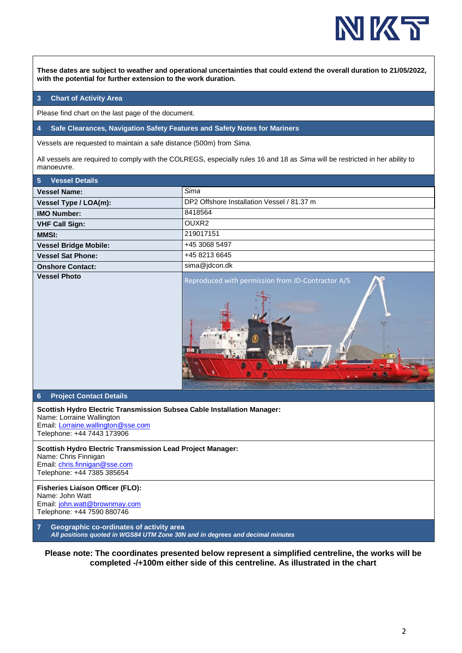

**These dates are subject to weather and operational uncertainties that could extend the overall duration to 21/05/2022, with the potential for further extension to the work duration.**

## **3 Chart of Activity Area**

Please find chart on the last page of the document.

**4 Safe Clearances, Navigation Safety Features and Safety Notes for Mariners** 

Vessels are requested to maintain a safe distance (500m) from *Sima*.

All vessels are required to comply with the COLREGS, especially rules 16 and 18 as *Sima* will be restricted in her ability to manoeuvre.

| 5<br><b>Vessel Details</b>                                                                                                                                               |                                                   |  |  |  |  |  |
|--------------------------------------------------------------------------------------------------------------------------------------------------------------------------|---------------------------------------------------|--|--|--|--|--|
| <b>Vessel Name:</b>                                                                                                                                                      | Sima                                              |  |  |  |  |  |
| <b>Vessel Type / LOA(m):</b>                                                                                                                                             | DP2 Offshore Installation Vessel / 81.37 m        |  |  |  |  |  |
| <b>IMO Number:</b>                                                                                                                                                       | 8418564                                           |  |  |  |  |  |
| <b>VHF Call Sign:</b>                                                                                                                                                    | OUXR2                                             |  |  |  |  |  |
| <b>MMSI:</b>                                                                                                                                                             | 219017151                                         |  |  |  |  |  |
| <b>Vessel Bridge Mobile:</b>                                                                                                                                             | +45 3068 5497                                     |  |  |  |  |  |
| <b>Vessel Sat Phone:</b>                                                                                                                                                 | +45 8213 6645                                     |  |  |  |  |  |
| <b>Onshore Contact:</b>                                                                                                                                                  | sima@jdcon.dk                                     |  |  |  |  |  |
| <b>Vessel Photo</b>                                                                                                                                                      | Reproduced with permission from JD-Contractor A/S |  |  |  |  |  |
| $6\phantom{1}6$<br><b>Project Contact Details</b>                                                                                                                        |                                                   |  |  |  |  |  |
| Scottish Hydro Electric Transmission Subsea Cable Installation Manager:<br>Name: Lorraine Wallington<br>Email: Lorraine.wallington@sse.com<br>Telephone: +44 7443 173906 |                                                   |  |  |  |  |  |
| <b>Scottish Hydro Electric Transmission Lead Project Manager:</b><br>Name: Chris Finnigan<br>Email: chris.finnigan@sse.com<br>Telephone: +44 7385 385654                 |                                                   |  |  |  |  |  |
| <b>Fisheries Liaison Officer (FLO):</b><br>Name: John Watt<br>Email: john.watt@brownmay.com<br>Telephone: +44 7590 880746                                                |                                                   |  |  |  |  |  |
| $\overline{7}$<br>Geographic co-ordinates of activity area<br>All positions quoted in WGS84 UTM Zone 30N and in degrees and decimal minutes                              |                                                   |  |  |  |  |  |

**Please note: The coordinates presented below represent a simplified centreline, the works will be completed -/+100m either side of this centreline. As illustrated in the chart**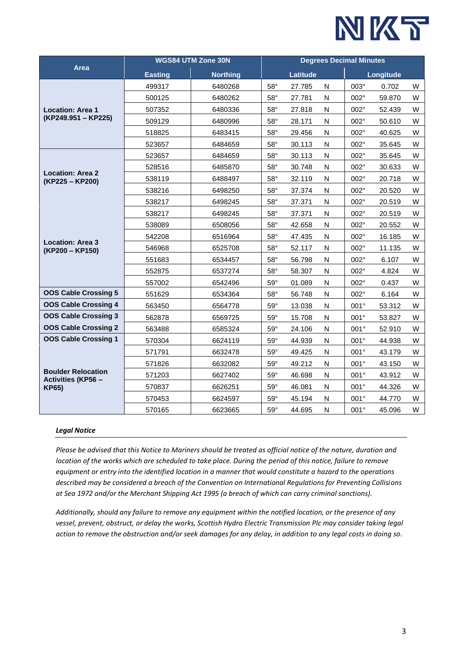

|                                                                        | <b>WGS84 UTM Zone 30N</b> |                 |                 | <b>Degrees Decimal Minutes</b> |           |             |        |   |  |
|------------------------------------------------------------------------|---------------------------|-----------------|-----------------|--------------------------------|-----------|-------------|--------|---|--|
| Area                                                                   | <b>Easting</b>            | <b>Northing</b> | <b>Latitude</b> |                                |           | Longitude   |        |   |  |
| <b>Location: Area 1</b><br>(KP249.951 - KP225)                         | 499317                    | 6480268         | $58^\circ$      | 27.785                         | N         | 003°        | 0.702  | W |  |
|                                                                        | 500125                    | 6480262         | $58^\circ$      | 27.781                         | ${\sf N}$ | 002°        | 59.870 | W |  |
|                                                                        | 507352                    | 6480336         | $58^\circ$      | 27.818                         | ${\sf N}$ | 002°        | 52.439 | W |  |
|                                                                        | 509129                    | 6480996         | $58^\circ$      | 28.171                         | N         | 002°        | 50.610 | W |  |
|                                                                        | 518825                    | 6483415         | $58^\circ$      | 29.456                         | N         | $002^\circ$ | 40.625 | W |  |
|                                                                        | 523657                    | 6484659         | $58^\circ$      | 30.113                         | ${\sf N}$ | 002°        | 35.645 | W |  |
| <b>Location: Area 2</b><br>(KP225 - KP200)                             | 523657                    | 6484659         | $58^\circ$      | 30.113                         | ${\sf N}$ | 002°        | 35.645 | W |  |
|                                                                        | 528516                    | 6485870         | $58^\circ$      | 30.748                         | ${\sf N}$ | 002°        | 30.633 | W |  |
|                                                                        | 538119                    | 6488497         | $58^\circ$      | 32.119                         | ${\sf N}$ | $002^\circ$ | 20.718 | W |  |
|                                                                        | 538216                    | 6498250         | $58^\circ$      | 37.374                         | N         | 002°        | 20.520 | W |  |
|                                                                        | 538217                    | 6498245         | $58^\circ$      | 37.371                         | N         | 002°        | 20.519 | W |  |
| <b>Location: Area 3</b><br>(KP200 - KP150)                             | 538217                    | 6498245         | $58^\circ$      | 37.371                         | ${\sf N}$ | 002°        | 20.519 | W |  |
|                                                                        | 538089                    | 6508056         | $58^\circ$      | 42.658                         | ${\sf N}$ | 002°        | 20.552 | W |  |
|                                                                        | 542208                    | 6516964         | $58^\circ$      | 47.435                         | N         | 002°        | 16.185 | W |  |
|                                                                        | 546968                    | 6525708         | $58^\circ$      | 52.117                         | N         | $002^\circ$ | 11.135 | W |  |
|                                                                        | 551683                    | 6534457         | $58^\circ$      | 56.798                         | ${\sf N}$ | 002°        | 6.107  | W |  |
|                                                                        | 552875                    | 6537274         | $58^\circ$      | 58.307                         | ${\sf N}$ | 002°        | 4.824  | W |  |
|                                                                        | 557002                    | 6542496         | $59^\circ$      | 01.089                         | ${\sf N}$ | 002°        | 0.437  | W |  |
| <b>OOS Cable Crossing 5</b>                                            | 551629                    | 6534364         | $58^\circ$      | 56.748                         | ${\sf N}$ | 002°        | 6.164  | W |  |
| <b>OOS Cable Crossing 4</b>                                            | 563450                    | 6564778         | $59^\circ$      | 13.038                         | N         | 001°        | 53.312 | W |  |
| <b>OOS Cable Crossing 3</b>                                            | 562878                    | 6569725         | $59^\circ$      | 15.708                         | ${\sf N}$ | 001°        | 53.827 | W |  |
| <b>OOS Cable Crossing 2</b>                                            | 563488                    | 6585324         | $59^\circ$      | 24.106                         | ${\sf N}$ | 001°        | 52.910 | W |  |
| <b>OOS Cable Crossing 1</b>                                            | 570304                    | 6624119         | $59^\circ$      | 44.939                         | ${\sf N}$ | 001°        | 44.938 | W |  |
| <b>Boulder Relocation</b><br><b>Activities (KP56 -</b><br><b>KP65)</b> | 571791                    | 6632478         | $59^\circ$      | 49.425                         | ${\sf N}$ | 001°        | 43.179 | W |  |
|                                                                        | 571826                    | 6632082         | $59^\circ$      | 49.212                         | N         | $001^\circ$ | 43.150 | W |  |
|                                                                        | 571203                    | 6627402         | $59^\circ$      | 46.698                         | ${\sf N}$ | 001°        | 43.912 | W |  |
|                                                                        | 570837                    | 6626251         | $59^\circ$      | 46.081                         | ${\sf N}$ | 001°        | 44.326 | W |  |
|                                                                        | 570453                    | 6624597         | $59^\circ$      | 45.194                         | ${\sf N}$ | 001°        | 44.770 | W |  |
|                                                                        | 570165                    | 6623665         | $59^\circ$      | 44.695                         | N         | $001^\circ$ | 45.096 | W |  |

## *Legal Notice*

*Please be advised that this Notice to Mariners should be treated as official notice of the nature, duration and location of the works which are scheduled to take place. During the period of this notice, failure to remove equipment or entry into the identified location in a manner that would constitute a hazard to the operations described may be considered a breach of the Convention on International Regulations for Preventing Collisions at Sea 1972 and/or the Merchant Shipping Act 1995 (a breach of which can carry criminal sanctions).*

*Additionally, should any failure to remove any equipment within the notified location, or the presence of any vessel, prevent, obstruct, or delay the works, Scottish Hydro Electric Transmission Plc may consider taking legal action to remove the obstruction and/or seek damages for any delay, in addition to any legal costs in doing so*.